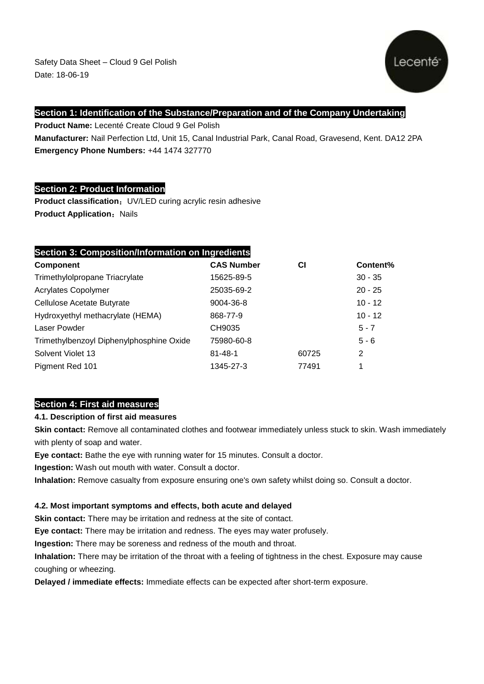

# **Section 1: Identification of the Substance/Preparation and of the Company Undertaking**

**Product Name:** Lecenté Create Cloud 9 Gel Polish **Manufacturer:** Nail Perfection Ltd, Unit 15, Canal Industrial Park, Canal Road, Gravesend, Kent. DA12 2PA **Emergency Phone Numbers:** +44 1474 327770

# **Section 2: Product Information**

**Product classification:** UV/LED curing acrylic resin adhesive **Product Application: Nails** 

# **Section 3: Composition/Information on Ingredients**

| <b>Component</b>                         | <b>CAS Number</b> | СI    | Content%       |
|------------------------------------------|-------------------|-------|----------------|
| Trimethylolpropane Triacrylate           | 15625-89-5        |       | $30 - 35$      |
| <b>Acrylates Copolymer</b>               | 25035-69-2        |       | $20 - 25$      |
| Cellulose Acetate Butyrate               | 9004-36-8         |       | $10 - 12$      |
| Hydroxyethyl methacrylate (HEMA)         | 868-77-9          |       | $10 - 12$      |
| Laser Powder                             | CH9035            |       | $5 - 7$        |
| Trimethylbenzoyl Diphenylphosphine Oxide | 75980-60-8        |       | $5 - 6$        |
| Solvent Violet 13                        | $81 - 48 - 1$     | 60725 | $\overline{2}$ |
| Pigment Red 101                          | 1345-27-3         | 77491 | 1              |

# **Section 4: First aid measures**

# **4.1. Description of first aid measures**

**Skin contact:** Remove all contaminated clothes and footwear immediately unless stuck to skin. Wash immediately with plenty of soap and water.

**Eye contact:** Bathe the eye with running water for 15 minutes. Consult a doctor.

**Ingestion:** Wash out mouth with water. Consult a doctor.

**Inhalation:** Remove casualty from exposure ensuring one's own safety whilst doing so. Consult a doctor.

# **4.2. Most important symptoms and effects, both acute and delayed**

**Skin contact:** There may be irritation and redness at the site of contact.

**Eye contact:** There may be irritation and redness. The eyes may water profusely.

**Ingestion:** There may be soreness and redness of the mouth and throat.

**Inhalation:** There may be irritation of the throat with a feeling of tightness in the chest. Exposure may cause coughing or wheezing.

**Delayed / immediate effects:** Immediate effects can be expected after short-term exposure.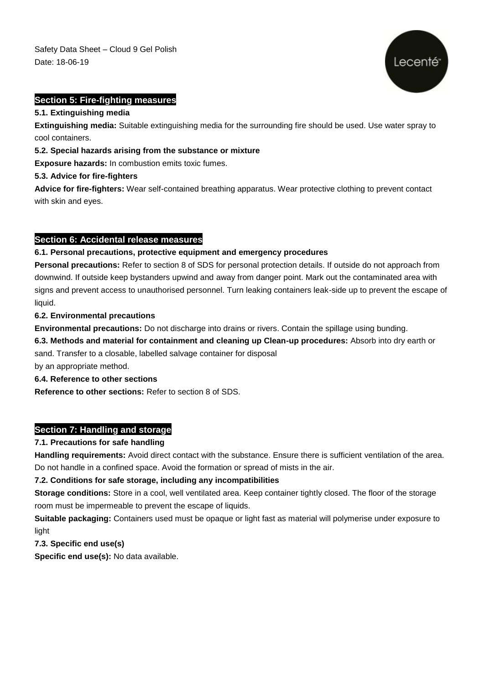

#### **Section 5: Fire-fighting measures**

#### **5.1. Extinguishing media**

**Extinguishing media:** Suitable extinguishing media for the surrounding fire should be used. Use water spray to cool containers.

#### **5.2. Special hazards arising from the substance or mixture**

**Exposure hazards:** In combustion emits toxic fumes.

#### **5.3. Advice for fire-fighters**

**Advice for fire-fighters:** Wear self-contained breathing apparatus. Wear protective clothing to prevent contact with skin and eyes.

# **Section 6: Accidental release measures**

#### **6.1. Personal precautions, protective equipment and emergency procedures**

**Personal precautions:** Refer to section 8 of SDS for personal protection details. If outside do not approach from downwind. If outside keep bystanders upwind and away from danger point. Mark out the contaminated area with signs and prevent access to unauthorised personnel. Turn leaking containers leak-side up to prevent the escape of liquid.

#### **6.2. Environmental precautions**

**Environmental precautions:** Do not discharge into drains or rivers. Contain the spillage using bunding.

**6.3. Methods and material for containment and cleaning up Clean-up procedures:** Absorb into dry earth or sand. Transfer to a closable, labelled salvage container for disposal

by an appropriate method.

# **6.4. Reference to other sections**

**Reference to other sections:** Refer to section 8 of SDS.

# **Section 7: Handling and storage**

# **7.1. Precautions for safe handling**

**Handling requirements:** Avoid direct contact with the substance. Ensure there is sufficient ventilation of the area. Do not handle in a confined space. Avoid the formation or spread of mists in the air.

# **7.2. Conditions for safe storage, including any incompatibilities**

**Storage conditions:** Store in a cool, well ventilated area. Keep container tightly closed. The floor of the storage room must be impermeable to prevent the escape of liquids.

**Suitable packaging:** Containers used must be opaque or light fast as material will polymerise under exposure to light

**7.3. Specific end use(s)**

**Specific end use(s):** No data available.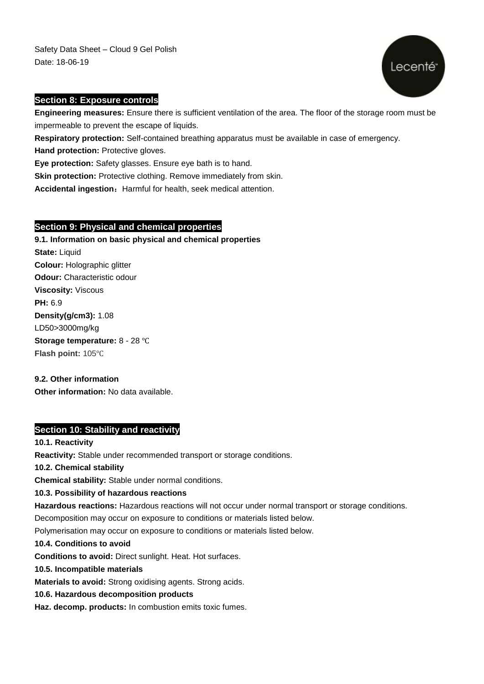Safety Data Sheet – Cloud 9 Gel Polish Date: 18-06-19



#### **Section 8: Exposure controls**

**Engineering measures:** Ensure there is sufficient ventilation of the area. The floor of the storage room must be impermeable to prevent the escape of liquids.

**Respiratory protection:** Self-contained breathing apparatus must be available in case of emergency.

**Hand protection: Protective gloves.** 

**Eye protection:** Safety glasses. Ensure eye bath is to hand.

**Skin protection:** Protective clothing. Remove immediately from skin.

Accidental ingestion: Harmful for health, seek medical attention.

# **Section 9: Physical and chemical properties**

**9.1. Information on basic physical and chemical properties State:** Liquid **Colour:** Holographic glitter **Odour:** Characteristic odour **Viscosity:** Viscous **PH:** 6.9 **[Density\(](app:ds:density)g/cm3):** 1.08 LD50>3000mg/kg **Storage temperature:** 8 - 28 ℃ **Flash point:** 105℃

#### **9.2. Other information**

**Other information:** No data available.

# **Section 10: Stability and reactivity**

# **10.1. Reactivity**

**Reactivity:** Stable under recommended transport or storage conditions.

**10.2. Chemical stability**

**Chemical stability:** Stable under normal conditions.

# **10.3. Possibility of hazardous reactions**

**Hazardous reactions:** Hazardous reactions will not occur under normal transport or storage conditions.

Decomposition may occur on exposure to conditions or materials listed below.

Polymerisation may occur on exposure to conditions or materials listed below.

#### **10.4. Conditions to avoid**

**Conditions to avoid:** Direct sunlight. Heat. Hot surfaces.

#### **10.5. Incompatible materials**

**Materials to avoid:** Strong oxidising agents. Strong acids.

# **10.6. Hazardous decomposition products**

**Haz. decomp. products:** In combustion emits toxic fumes.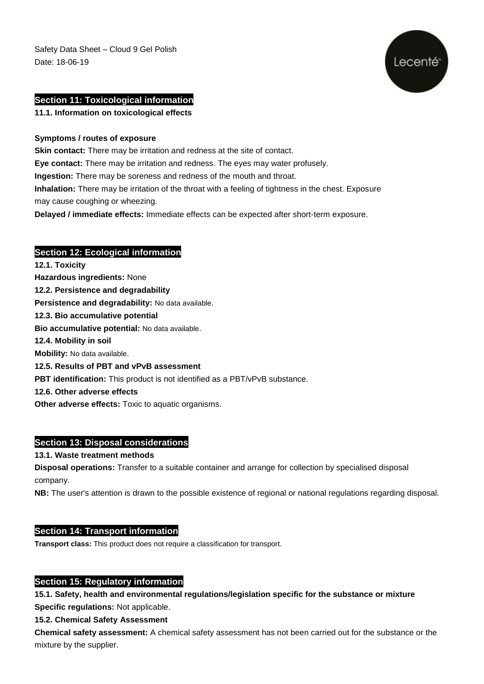Safety Data Sheet – Cloud 9 Gel Polish Date: 18-06-19



#### **Section 11: Toxicological information**

**11.1. Information on toxicological effects**

#### **Symptoms / routes of exposure**

**Skin contact:** There may be irritation and redness at the site of contact.

**Eye contact:** There may be irritation and redness. The eyes may water profusely.

**Ingestion:** There may be soreness and redness of the mouth and throat.

**Inhalation:** There may be irritation of the throat with a feeling of tightness in the chest. Exposure may cause coughing or wheezing.

**Delayed / immediate effects:** Immediate effects can be expected after short-term exposure.

# **Section 12: Ecological information**

**12.1. Toxicity Hazardous ingredients:** None **12.2. Persistence and degradability Persistence and degradability:** No data available. **12.3. Bio accumulative potential Bio accumulative potential:** No data available. **12.4. Mobility in soil Mobility:** No data available. **12.5. Results of PBT and vPvB assessment PBT identification:** This product is not identified as a PBT/vPvB substance. **12.6. Other adverse effects Other adverse effects:** Toxic to aquatic organisms.

# **Section 13: Disposal considerations**

#### **13.1. Waste treatment methods**

**Disposal operations:** Transfer to a suitable container and arrange for collection by specialised disposal company.

**NB:** The user's attention is drawn to the possible existence of regional or national regulations regarding disposal.

# **Section 14: Transport information**

**Transport class:** This product does not require a classification for transport.

#### **Section 15: Regulatory information**

**15.1. Safety, health and environmental regulations/legislation specific for the substance or mixture Specific regulations:** Not applicable.

**15.2. Chemical Safety Assessment**

**Chemical safety assessment:** A chemical safety assessment has not been carried out for the substance or the mixture by the supplier.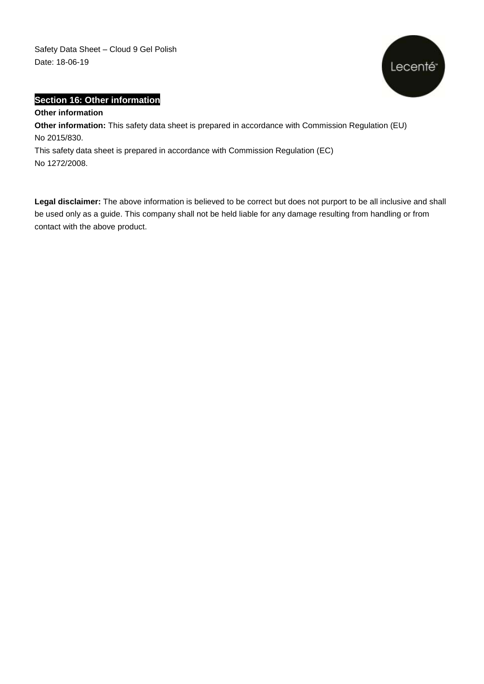Safety Data Sheet – Cloud 9 Gel Polish Date: 18-06-19



# **Section 16: Other information**

# **Other information**

**Other information:** This safety data sheet is prepared in accordance with Commission Regulation (EU) No 2015/830.

This safety data sheet is prepared in accordance with Commission Regulation (EC) No 1272/2008.

**Legal disclaimer:** The above information is believed to be correct but does not purport to be all inclusive and shall be used only as a guide. This company shall not be held liable for any damage resulting from handling or from contact with the above product.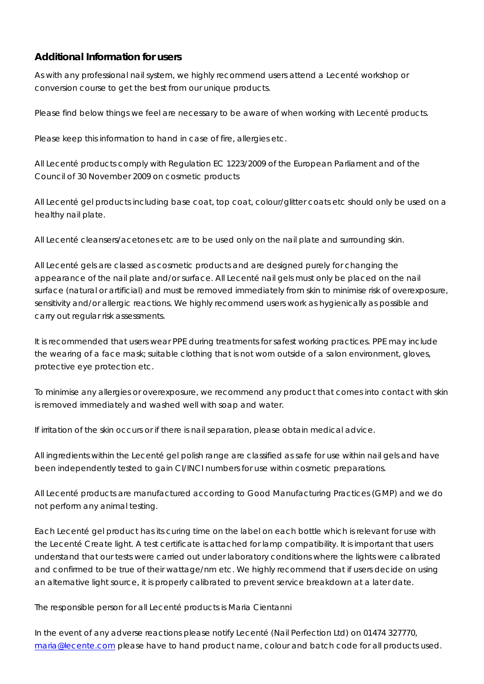# **Additional Information for users**

As with any professional nail system, we highly recommend users attend a Lecenté workshop or conversion course to get the best from our unique products.

Please find below things we feel are necessary to be aware of when working with Lecenté products.

Please keep this information to hand in case of fire, allergies etc.

All Lecenté products comply with Regulation EC 1223/2009 of the European Parliament and of the Council of 30 November 2009 on cosmetic products

All Lecenté gel products including base coat, top coat, colour/glitter coats etc should only be used on a healthy nail plate.

All Lecenté cleansers/acetones etc are to be used only on the nail plate and surrounding skin.

All Lecenté gels are classed as cosmetic products and are designed purely for changing the appearance of the nail plate and/or surface. All Lecenté nail gels must only be placed on the nail surface (natural or artificial) and must be removed immediately from skin to minimise risk of overexposure, sensitivity and/or allergic reactions. We highly recommend users work as hygienically as possible and carry out regular risk assessments.

It is recommended that users wear PPE during treatments for safest working practices. PPE may include the wearing of a face mask; suitable clothing that is not worn outside of a salon environment, gloves, protective eye protection etc.

To minimise any allergies or overexposure, we recommend any product that comes into contact with skin is removed immediately and washed well with soap and water.

If irritation of the skin occurs or if there is nail separation, please obtain medical advice.

All ingredients within the Lecenté gel polish range are classified as safe for use within nail gels and have been independently tested to gain CI/INCI numbers for use within cosmetic preparations.

All Lecenté products are manufactured according to Good Manufacturing Practices (GMP) and we do not perform any animal testing.

Each Lecenté gel product has its curing time on the label on each bottle which is relevant for use with the Lecenté Create light. A test certificate is attached for lamp compatibility. It is important that users understand that our tests were carried out under laboratory conditions where the lights were calibrated and confirmed to be true of their wattage/nm etc. We highly recommend that if users decide on using an alternative light source, it is properly calibrated to prevent service breakdown at a later date.

The responsible person for all Lecenté products is Maria Cientanni

In the event of any adverse reactions please notify Lecenté (Nail Perfection Ltd) on 01474 327770, [maria@lecente.com](mailto:maria@lecente.com) please have to hand product name, colour and batch code for all products used.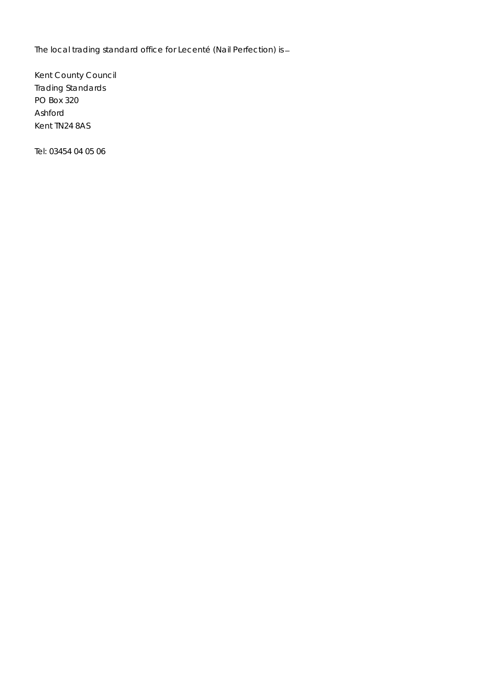The local trading standard office for Lecenté (Nail Perfection) is

Kent County Council Trading Standards PO Box 320 Ashford Kent TN24 8AS

Tel: 03454 04 05 06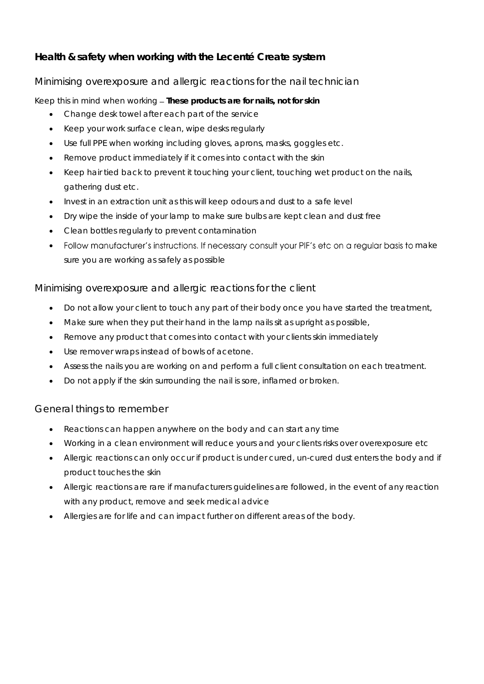# **Health & safety when working with the Lecenté Create system**

# Minimising overexposure and allergic reactions for the nail technician

Keep this in mind when working *These products are for nails, not for skin*

- Change desk towel after each part of the service
- Keep your work surface clean, wipe desks regularly
- Use full PPE when working including gloves, aprons, masks, goggles etc.
- Remove product immediately if it comes into contact with the skin
- Keep hair tied back to prevent it touching your client, touching wet product on the nails, gathering dust etc.
- Invest in an extraction unit as this will keep odours and dust to a safe level
- Dry wipe the inside of your lamp to make sure bulbs are kept clean and dust free
- Clean bottles regularly to prevent contamination
- Follow manufacturer's instructions. If necessary consult your PIF's etc on a regular basis to make sure you are working as safely as possible

# Minimising overexposure and allergic reactions for the client

- Do not allow your client to touch any part of their body once you have started the treatment,
- Make sure when they put their hand in the lamp nails sit as upright as possible,
- Remove any product that comes into contact with your clients skin immediately
- Use remover wraps instead of bowls of acetone.
- Assess the nails you are working on and perform a full client consultation on each treatment.
- Do not apply if the skin surrounding the nail is sore, inflamed or broken.

# General things to remember

- Reactions can happen anywhere on the body and can start any time
- Working in a clean environment will reduce yours and your clients risks over overexposure etc
- Allergic reactions can only occur if product is under cured, un-cured dust enters the body and if product touches the skin
- Allergic reactions are rare if manufacturers guidelines are followed, in the event of any reaction with any product, remove and seek medical advice
- Allergies are for life and can impact further on different areas of the body.